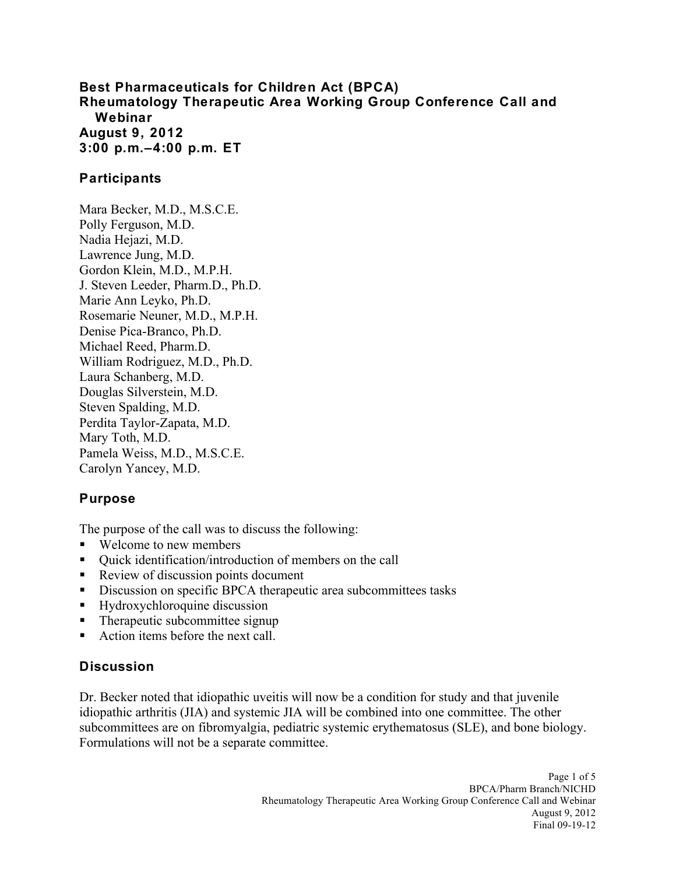### **Best Pharmaceuticals for Children Act (BPCA) 3:00 p.m.–4:00 p.m. ET Rheumatology Therapeutic Area Working Group Conference Call and Webinar August 9, 2012**

## **Participants**

Mara Becker, M.D., M.S.C.E. Polly Ferguson, M.D. Nadia Hejazi, M.D. Lawrence Jung, M.D. Gordon Klein, M.D., M.P.H. J. Steven Leeder, Pharm.D., Ph.D. Marie Ann Leyko, Ph.D. Rosemarie Neuner, M.D., M.P.H. Denise Pica-Branco, Ph.D. Michael Reed, Pharm.D. William Rodriguez, M.D., Ph.D. Laura Schanberg, M.D. Douglas Silverstein, M.D. Steven Spalding, M.D. Perdita Taylor-Zapata, M.D. Mary Toth, M.D. Pamela Weiss, M.D., M.S.C.E. Carolyn Yancey, M.D.

## **Purpose**

The purpose of the call was to discuss the following:

- Welcome to new members
- Ouick identification/introduction of members on the call
- Review of discussion points document
- Discussion on specific BPCA therapeutic area subcommittees tasks
- **Hydroxychloroquine discussion**
- Therapeutic subcommittee signup
- Action items before the next call.

### **Discussion**

 Dr. Becker noted that idiopathic uveitis will now be a condition for study and that juvenile idiopathic arthritis (JIA) and systemic JIA will be combined into one committee. The other Formulations will not be a separate committee. subcommittees are on fibromyalgia, pediatric systemic erythematosus (SLE), and bone biology.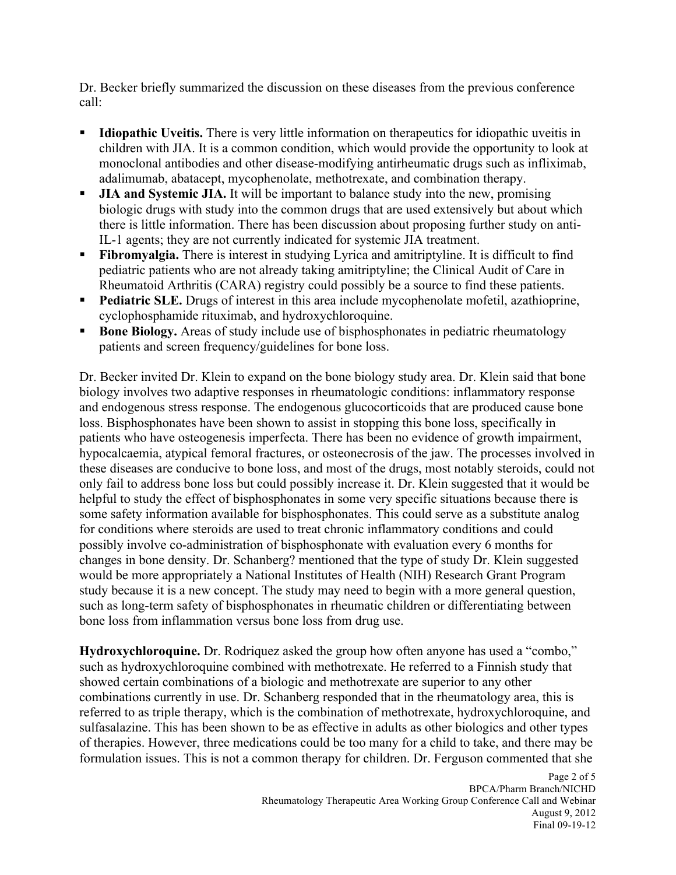Dr. Becker briefly summarized the discussion on these diseases from the previous conference call:

- **Idiopathic Uveitis.** There is very little information on therapeutics for idiopathic uveitis in children with JIA. It is a common condition, which would provide the opportunity to look at monoclonal antibodies and other disease-modifying antirheumatic drugs such as infliximab, adalimumab, abatacept, mycophenolate, methotrexate, and combination therapy.
- biologic drugs with study into the common drugs that are used extensively but about which IL-1 agents; they are not currently indicated for systemic JIA treatment. **JIA and Systemic JIA.** It will be important to balance study into the new, promising there is little information. There has been discussion about proposing further study on anti-
- Rheumatoid Arthritis (CARA) registry could possibly be a source to find these patients. **Fibromyalgia.** There is interest in studying Lyrica and amitriptyline. It is difficult to find pediatric patients who are not already taking amitriptyline; the Clinical Audit of Care in
- **Pediatric SLE.** Drugs of interest in this area include mycophenolate mofetil, azathioprine, cyclophosphamide rituximab, and hydroxychloroquine.
- **Bone Biology.** Areas of study include use of bisphosphonates in pediatric rheumatology patients and screen frequency/guidelines for bone loss.

 Dr. Becker invited Dr. Klein to expand on the bone biology study area. Dr. Klein said that bone only fail to address bone loss but could possibly increase it. Dr. Klein suggested that it would be helpful to study the effect of bisphosphonates in some very specific situations because there is possibly involve co-administration of bisphosphonate with evaluation every 6 months for biology involves two adaptive responses in rheumatologic conditions: inflammatory response and endogenous stress response. The endogenous glucocorticoids that are produced cause bone loss. Bisphosphonates have been shown to assist in stopping this bone loss, specifically in patients who have osteogenesis imperfecta. There has been no evidence of growth impairment, hypocalcaemia, atypical femoral fractures, or osteonecrosis of the jaw. The processes involved in these diseases are conducive to bone loss, and most of the drugs, most notably steroids, could not some safety information available for bisphosphonates. This could serve as a substitute analog for conditions where steroids are used to treat chronic inflammatory conditions and could changes in bone density. Dr. Schanberg? mentioned that the type of study Dr. Klein suggested would be more appropriately a National Institutes of Health (NIH) Research Grant Program study because it is a new concept. The study may need to begin with a more general question, such as long-term safety of bisphosphonates in rheumatic children or differentiating between bone loss from inflammation versus bone loss from drug use.

 showed certain combinations of a biologic and methotrexate are superior to any other **Hydroxychloroquine.** Dr. Rodriquez asked the group how often anyone has used a "combo," such as hydroxychloroquine combined with methotrexate. He referred to a Finnish study that combinations currently in use. Dr. Schanberg responded that in the rheumatology area, this is referred to as triple therapy, which is the combination of methotrexate, hydroxychloroquine, and sulfasalazine. This has been shown to be as effective in adults as other biologics and other types of therapies. However, three medications could be too many for a child to take, and there may be formulation issues. This is not a common therapy for children. Dr. Ferguson commented that she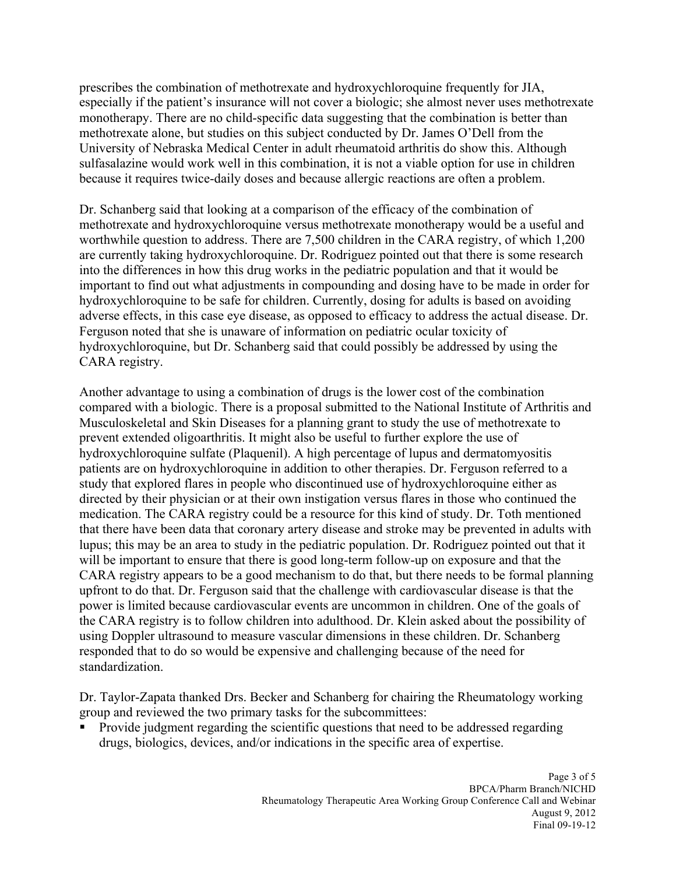monotherapy. There are no child-specific data suggesting that the combination is better than prescribes the combination of methotrexate and hydroxychloroquine frequently for JIA, especially if the patient's insurance will not cover a biologic; she almost never uses methotrexate methotrexate alone, but studies on this subject conducted by Dr. James O'Dell from the University of Nebraska Medical Center in adult rheumatoid arthritis do show this. Although sulfasalazine would work well in this combination, it is not a viable option for use in children because it requires twice-daily doses and because allergic reactions are often a problem.

 worthwhile question to address. There are 7,500 children in the CARA registry, of which 1,200 into the differences in how this drug works in the pediatric population and that it would be Ferguson noted that she is unaware of information on pediatric ocular toxicity of CARA registry. Dr. Schanberg said that looking at a comparison of the efficacy of the combination of methotrexate and hydroxychloroquine versus methotrexate monotherapy would be a useful and are currently taking hydroxychloroquine. Dr. Rodriguez pointed out that there is some research important to find out what adjustments in compounding and dosing have to be made in order for hydroxychloroquine to be safe for children. Currently, dosing for adults is based on avoiding adverse effects, in this case eye disease, as opposed to efficacy to address the actual disease. Dr. hydroxychloroquine, but Dr. Schanberg said that could possibly be addressed by using the

 medication. The CARA registry could be a resource for this kind of study. Dr. Toth mentioned that there have been data that coronary artery disease and stroke may be prevented in adults with the CARA registry is to follow children into adulthood. Dr. Klein asked about the possibility of Another advantage to using a combination of drugs is the lower cost of the combination compared with a biologic. There is a proposal submitted to the National Institute of Arthritis and Musculoskeletal and Skin Diseases for a planning grant to study the use of methotrexate to prevent extended oligoarthritis. It might also be useful to further explore the use of hydroxychloroquine sulfate (Plaquenil). A high percentage of lupus and dermatomyositis patients are on hydroxychloroquine in addition to other therapies. Dr. Ferguson referred to a study that explored flares in people who discontinued use of hydroxychloroquine either as directed by their physician or at their own instigation versus flares in those who continued the lupus; this may be an area to study in the pediatric population. Dr. Rodriguez pointed out that it will be important to ensure that there is good long-term follow-up on exposure and that the CARA registry appears to be a good mechanism to do that, but there needs to be formal planning upfront to do that. Dr. Ferguson said that the challenge with cardiovascular disease is that the power is limited because cardiovascular events are uncommon in children. One of the goals of using Doppler ultrasound to measure vascular dimensions in these children. Dr. Schanberg responded that to do so would be expensive and challenging because of the need for standardization.

Dr. Taylor-Zapata thanked Drs. Becker and Schanberg for chairing the Rheumatology working group and reviewed the two primary tasks for the subcommittees:

• Provide judgment regarding the scientific questions that need to be addressed regarding drugs, biologics, devices, and/or indications in the specific area of expertise.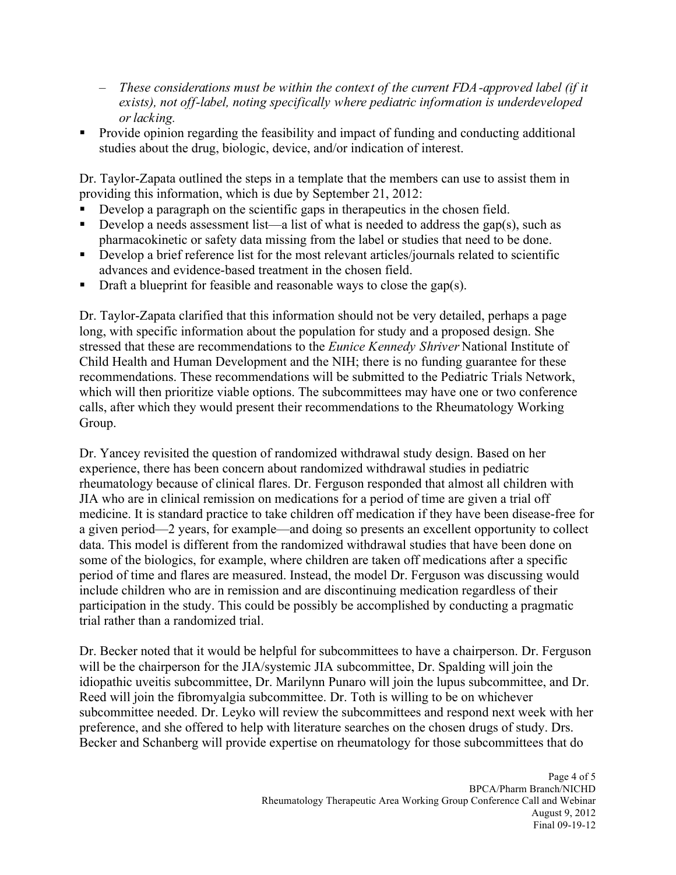- – *These considerations must be within the context of the current FDA-approved label (if it exists), not off-label, noting specifically where pediatric information is underdeveloped or lacking.*
- Provide opinion regarding the feasibility and impact of funding and conducting additional studies about the drug, biologic, device, and/or indication of interest.

Dr. Taylor-Zapata outlined the steps in a template that the members can use to assist them in providing this information, which is due by September 21, 2012:

- Develop a paragraph on the scientific gaps in therapeutics in the chosen field.
- Develop a needs assessment list—a list of what is needed to address the gap(s), such as pharmacokinetic or safety data missing from the label or studies that need to be done.
- advances and evidence-based treatment in the chosen field. Develop a brief reference list for the most relevant articles/journals related to scientific
- $\blacksquare$  Draft a blueprint for feasible and reasonable ways to close the gap(s).

Dr. Taylor-Zapata clarified that this information should not be very detailed, perhaps a page long, with specific information about the population for study and a proposed design. She stressed that these are recommendations to the *Eunice Kennedy Shriver* National Institute of Child Health and Human Development and the NIH; there is no funding guarantee for these recommendations. These recommendations will be submitted to the Pediatric Trials Network, which will then prioritize viable options. The subcommittees may have one or two conference calls, after which they would present their recommendations to the Rheumatology Working Group.

 participation in the study. This could be possibly be accomplished by conducting a pragmatic Dr. Yancey revisited the question of randomized withdrawal study design. Based on her experience, there has been concern about randomized withdrawal studies in pediatric rheumatology because of clinical flares. Dr. Ferguson responded that almost all children with JIA who are in clinical remission on medications for a period of time are given a trial off medicine. It is standard practice to take children off medication if they have been disease-free for a given period—2 years, for example—and doing so presents an excellent opportunity to collect data. This model is different from the randomized withdrawal studies that have been done on some of the biologics, for example, where children are taken off medications after a specific period of time and flares are measured. Instead, the model Dr. Ferguson was discussing would include children who are in remission and are discontinuing medication regardless of their trial rather than a randomized trial.

Dr. Becker noted that it would be helpful for subcommittees to have a chairperson. Dr. Ferguson will be the chairperson for the JIA/systemic JIA subcommittee, Dr. Spalding will join the idiopathic uveitis subcommittee, Dr. Marilynn Punaro will join the lupus subcommittee, and Dr. Reed will join the fibromyalgia subcommittee. Dr. Toth is willing to be on whichever subcommittee needed. Dr. Leyko will review the subcommittees and respond next week with her preference, and she offered to help with literature searches on the chosen drugs of study. Drs. Becker and Schanberg will provide expertise on rheumatology for those subcommittees that do